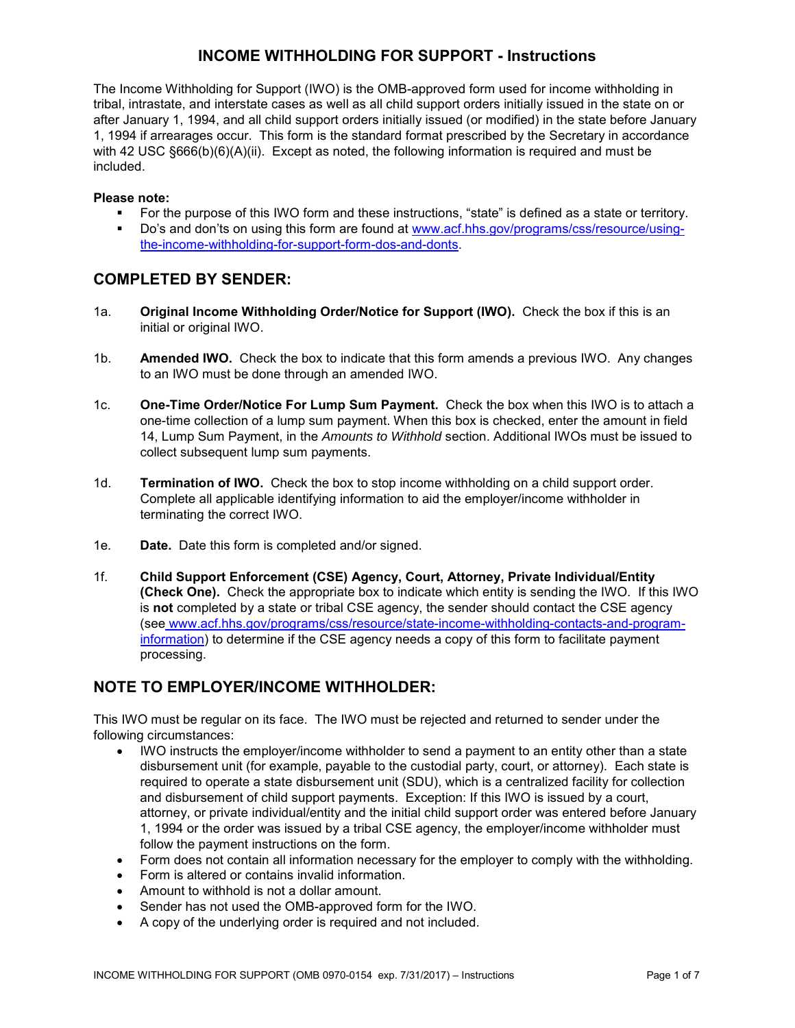# **INCOME WITHHOLDING FOR SUPPORT - Instructions**

The Income Withholding for Support (IWO) is the OMB-approved form used for income withholding in tribal, intrastate, and interstate cases as well as all child support orders initially issued in the state on or after January 1, 1994, and all child support orders initially issued (or modified) in the state before January 1, 1994 if arrearages occur. This form is the standard format prescribed by the Secretary in accordance with 42 USC §666(b)(6)(A)(ii). Except as noted, the following information is required and must be included.

#### **Please note:**

- For the purpose of this IWO form and these instructions, "state" is defined as a state or territory.
- Do's and don'ts on using this form are found at [www.acf.hhs.gov/programs/css/resource/using](http://www.acf.hhs.gov/programs/css/resource/using-the-income-withholding-for-support-form-dos-and-donts)[the-income-withholding-for-support-form-dos-and-donts.](http://www.acf.hhs.gov/programs/css/resource/using-the-income-withholding-for-support-form-dos-and-donts)

### **COMPLETED BY SENDER:**

- 1a. **Original Income Withholding Order/Notice for Support (IWO).** Check the box if this is an initial or original IWO.
- 1b. **Amended IWO.** Check the box to indicate that this form amends a previous IWO. Any changes to an IWO must be done through an amended IWO.
- 1c. **One-Time Order/Notice For Lump Sum Payment.** Check the box when this IWO is to attach a one-time collection of a lump sum payment. When this box is checked, enter the amount in field 14, Lump Sum Payment, in the *Amounts to Withhold* section. Additional IWOs must be issued to collect subsequent lump sum payments.
- 1d. **Termination of IWO.** Check the box to stop income withholding on a child support order. Complete all applicable identifying information to aid the employer/income withholder in terminating the correct IWO.
- 1e. **Date.** Date this form is completed and/or signed.
- 1f. **Child Support Enforcement (CSE) Agency, Court, Attorney, Private Individual/Entity (Check One).** Check the appropriate box to indicate which entity is sending the IWO. If this IWO is **not** completed by a state or tribal CSE agency, the sender should contact the CSE agency (see [www.acf.hhs.gov/programs/css/resource/state-income-withholding-contacts-and-program](http://www.acf.hhs.gov/programs/css/resource/state-income-withholding-contacts-and-program-information)[information\)](http://www.acf.hhs.gov/programs/css/resource/state-income-withholding-contacts-and-program-information) to determine if the CSE agency needs a copy of this form to facilitate payment processing.

# **NOTE TO EMPLOYER/INCOME WITHHOLDER:**

This IWO must be regular on its face. The IWO must be rejected and returned to sender under the following circumstances:

- IWO instructs the employer/income withholder to send a payment to an entity other than a state disbursement unit (for example, payable to the custodial party, court, or attorney). Each state is required to operate a state disbursement unit (SDU), which is a centralized facility for collection and disbursement of child support payments. Exception: If this IWO is issued by a court, attorney, or private individual/entity and the initial child support order was entered before January 1, 1994 or the order was issued by a tribal CSE agency, the employer/income withholder must follow the payment instructions on the form.
- Form does not contain all information necessary for the employer to comply with the withholding.
- Form is altered or contains invalid information.
- Amount to withhold is not a dollar amount.
- Sender has not used the OMB-approved form for the IWO.
- A copy of the underlying order is required and not included.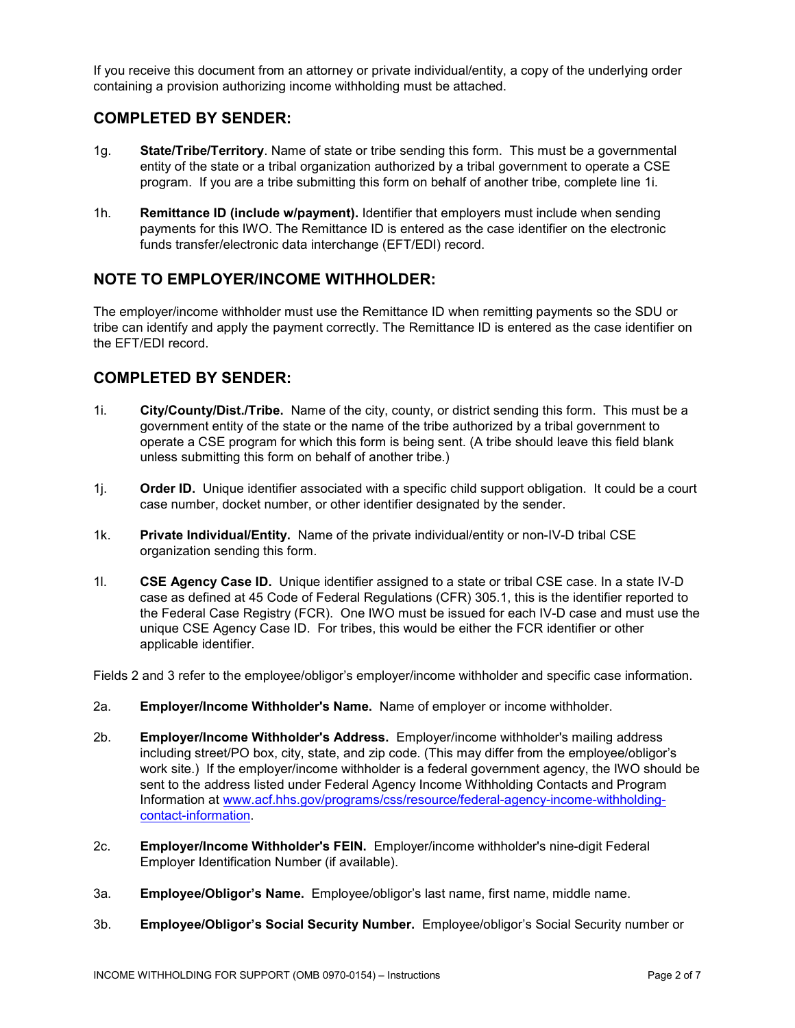If you receive this document from an attorney or private individual/entity, a copy of the underlying order containing a provision authorizing income withholding must be attached.

# **COMPLETED BY SENDER:**

- 1g. **State/Tribe/Territory**. Name of state or tribe sending this form. This must be a governmental entity of the state or a tribal organization authorized by a tribal government to operate a CSE program. If you are a tribe submitting this form on behalf of another tribe, complete line 1i.
- 1h. **Remittance ID (include w/payment).** Identifier that employers must include when sending payments for this IWO. The Remittance ID is entered as the case identifier on the electronic funds transfer/electronic data interchange (EFT/EDI) record.

# **NOTE TO EMPLOYER/INCOME WITHHOLDER:**

The employer/income withholder must use the Remittance ID when remitting payments so the SDU or tribe can identify and apply the payment correctly. The Remittance ID is entered as the case identifier on the EFT/EDI record.

# **COMPLETED BY SENDER:**

- 1i. **City/County/Dist./Tribe.** Name of the city, county, or district sending this form. This must be a government entity of the state or the name of the tribe authorized by a tribal government to operate a CSE program for which this form is being sent. (A tribe should leave this field blank unless submitting this form on behalf of another tribe.)
- 1j. **Order ID.** Unique identifier associated with a specific child support obligation. It could be a court case number, docket number, or other identifier designated by the sender.
- 1k. **Private Individual/Entity.** Name of the private individual/entity or non-IV-D tribal CSE organization sending this form.
- 1l. **CSE Agency Case ID.** Unique identifier assigned to a state or tribal CSE case. In a state IV-D case as defined at 45 Code of Federal Regulations (CFR) 305.1, this is the identifier reported to the Federal Case Registry (FCR). One IWO must be issued for each IV-D case and must use the unique CSE Agency Case ID. For tribes, this would be either the FCR identifier or other applicable identifier.

Fields 2 and 3 refer to the employee/obligor's employer/income withholder and specific case information.

- 2a. **Employer/Income Withholder's Name.** Name of employer or income withholder.
- 2b. **Employer/Income Withholder's Address.** Employer/income withholder's mailing address including street/PO box, city, state, and zip code. (This may differ from the employee/obligor's work site.) If the employer/income withholder is a federal government agency, the IWO should be sent to the address listed under Federal Agency Income Withholding Contacts and Program Information at [www.acf.hhs.gov/programs/css/resource/federal-agency-income-withholding](http://www.acf.hhs.gov/programs/css/resource/federal-agency-income-withholding-contact-information)[contact-information.](http://www.acf.hhs.gov/programs/css/resource/federal-agency-income-withholding-contact-information)
- 2c. **Employer/Income Withholder's FEIN.** Employer/income withholder's nine-digit Federal Employer Identification Number (if available).
- 3a. **Employee/Obligor's Name.** Employee/obligor's last name, first name, middle name.
- 3b. **Employee/Obligor's Social Security Number.** Employee/obligor's Social Security number or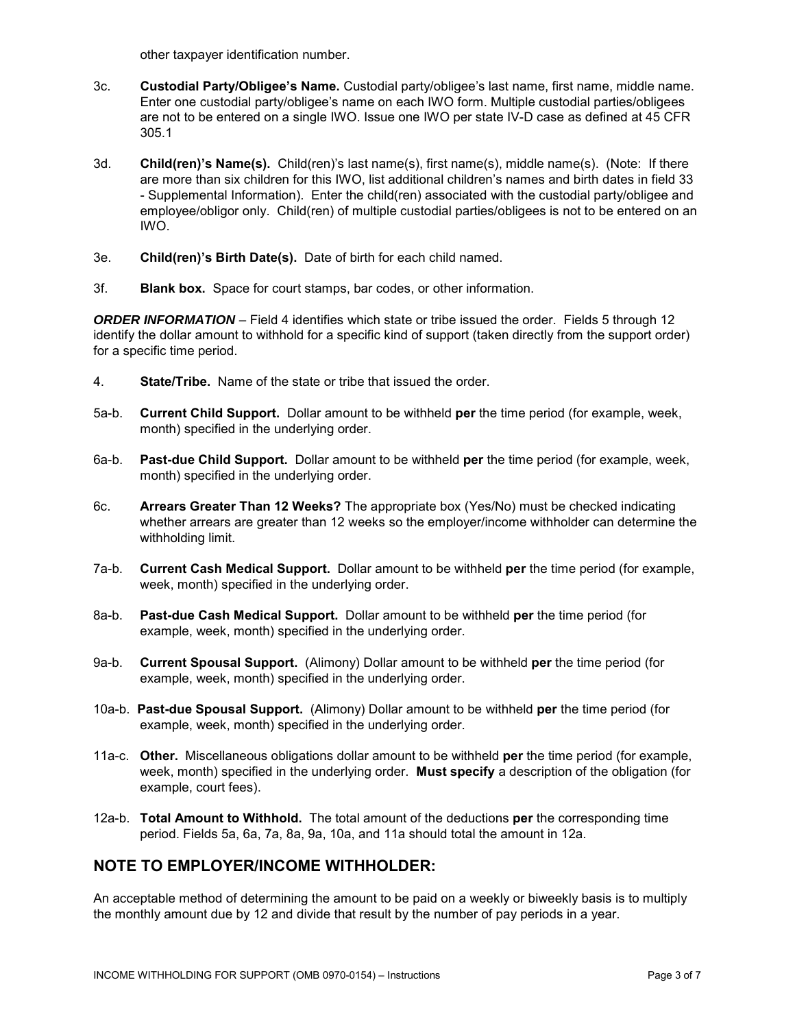other taxpayer identification number.

- 3c. **Custodial Party/Obligee's Name.** Custodial party/obligee's last name, first name, middle name. Enter one custodial party/obligee's name on each IWO form. Multiple custodial parties/obligees are not to be entered on a single IWO. Issue one IWO per state IV-D case as defined at 45 CFR 305.1
- 3d. **Child(ren)'s Name(s).** Child(ren)'s last name(s), first name(s), middle name(s). (Note: If there are more than six children for this IWO, list additional children's names and birth dates in field 33 - Supplemental Information). Enter the child(ren) associated with the custodial party/obligee and employee/obligor only. Child(ren) of multiple custodial parties/obligees is not to be entered on an IWO.
- 3e. **Child(ren)'s Birth Date(s).** Date of birth for each child named.
- 3f. **Blank box.** Space for court stamps, bar codes, or other information.

*ORDER INFORMATION* – Field 4 identifies which state or tribe issued the order. Fields 5 through 12 identify the dollar amount to withhold for a specific kind of support (taken directly from the support order) for a specific time period.

- 4. **State/Tribe.** Name of the state or tribe that issued the order.
- 5a-b. **Current Child Support.** Dollar amount to be withheld **per** the time period (for example, week, month) specified in the underlying order.
- 6a-b. **Past-due Child Support.** Dollar amount to be withheld **per** the time period (for example, week, month) specified in the underlying order.
- 6c. **Arrears Greater Than 12 Weeks?** The appropriate box (Yes/No) must be checked indicating whether arrears are greater than 12 weeks so the employer/income withholder can determine the withholding limit.
- 7a-b. **Current Cash Medical Support.** Dollar amount to be withheld **per** the time period (for example, week, month) specified in the underlying order.
- 8a-b. **Past-due Cash Medical Support.** Dollar amount to be withheld **per** the time period (for example, week, month) specified in the underlying order.
- 9a-b. **Current Spousal Support.** (Alimony) Dollar amount to be withheld **per** the time period (for example, week, month) specified in the underlying order.
- 10a-b. **Past-due Spousal Support.** (Alimony) Dollar amount to be withheld **per** the time period (for example, week, month) specified in the underlying order.
- 11a-c. **Other.** Miscellaneous obligations dollar amount to be withheld **per** the time period (for example, week, month) specified in the underlying order. **Must specify** a description of the obligation (for example, court fees).
- 12a-b. **Total Amount to Withhold.** The total amount of the deductions **per** the corresponding time period. Fields 5a, 6a, 7a, 8a, 9a, 10a, and 11a should total the amount in 12a.

# **NOTE TO EMPLOYER/INCOME WITHHOLDER:**

An acceptable method of determining the amount to be paid on a weekly or biweekly basis is to multiply the monthly amount due by 12 and divide that result by the number of pay periods in a year.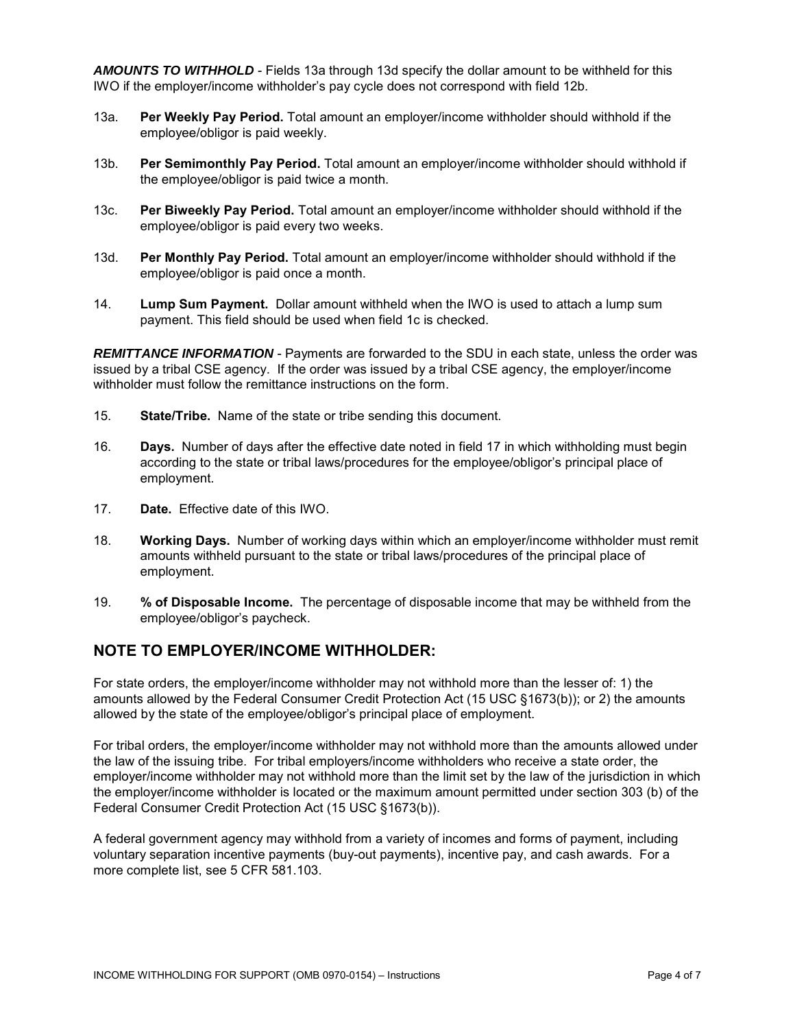*AMOUNTS TO WITHHOLD* - Fields 13a through 13d specify the dollar amount to be withheld for this IWO if the employer/income withholder's pay cycle does not correspond with field 12b.

- 13a. **Per Weekly Pay Period.** Total amount an employer/income withholder should withhold if the employee/obligor is paid weekly.
- 13b. **Per Semimonthly Pay Period.** Total amount an employer/income withholder should withhold if the employee/obligor is paid twice a month.
- 13c. **Per Biweekly Pay Period.** Total amount an employer/income withholder should withhold if the employee/obligor is paid every two weeks.
- 13d. **Per Monthly Pay Period.** Total amount an employer/income withholder should withhold if the employee/obligor is paid once a month.
- 14. **Lump Sum Payment.** Dollar amount withheld when the IWO is used to attach a lump sum payment. This field should be used when field 1c is checked.

**REMITTANCE INFORMATION** - Payments are forwarded to the SDU in each state, unless the order was issued by a tribal CSE agency. If the order was issued by a tribal CSE agency, the employer/income withholder must follow the remittance instructions on the form.

- 15. **State/Tribe.** Name of the state or tribe sending this document.
- 16. **Days.** Number of days after the effective date noted in field 17 in which withholding must begin according to the state or tribal laws/procedures for the employee/obligor's principal place of employment.
- 17. **Date.** Effective date of this IWO.
- 18. **Working Days.** Number of working days within which an employer/income withholder must remit amounts withheld pursuant to the state or tribal laws/procedures of the principal place of employment.
- 19. **% of Disposable Income.** The percentage of disposable income that may be withheld from the employee/obligor's paycheck.

# **NOTE TO EMPLOYER/INCOME WITHHOLDER:**

For state orders, the employer/income withholder may not withhold more than the lesser of: 1) the amounts allowed by the Federal Consumer Credit Protection Act (15 USC §1673(b)); or 2) the amounts allowed by the state of the employee/obligor's principal place of employment.

For tribal orders, the employer/income withholder may not withhold more than the amounts allowed under the law of the issuing tribe. For tribal employers/income withholders who receive a state order, the employer/income withholder may not withhold more than the limit set by the law of the jurisdiction in which the employer/income withholder is located or the maximum amount permitted under section 303 (b) of the Federal Consumer Credit Protection Act (15 USC §1673(b)).

A federal government agency may withhold from a variety of incomes and forms of payment, including voluntary separation incentive payments (buy-out payments), incentive pay, and cash awards. For a more complete list, see 5 CFR 581.103.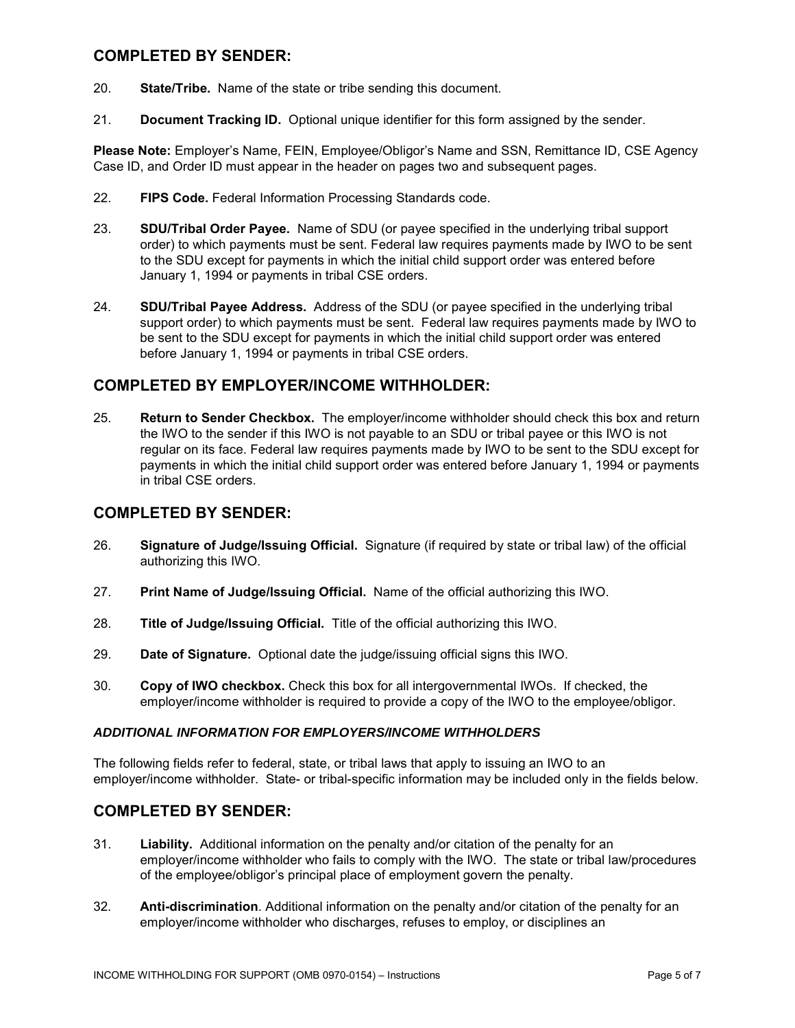# **COMPLETED BY SENDER:**

- 20. **State/Tribe.** Name of the state or tribe sending this document.
- 21. **Document Tracking ID.** Optional unique identifier for this form assigned by the sender.

**Please Note:** Employer's Name, FEIN, Employee/Obligor's Name and SSN, Remittance ID, CSE Agency Case ID, and Order ID must appear in the header on pages two and subsequent pages.

- 22. **FIPS Code.** Federal Information Processing Standards code.
- 23. **SDU/Tribal Order Payee.** Name of SDU (or payee specified in the underlying tribal support order) to which payments must be sent. Federal law requires payments made by IWO to be sent to the SDU except for payments in which the initial child support order was entered before January 1, 1994 or payments in tribal CSE orders.
- 24. **SDU/Tribal Payee Address.** Address of the SDU (or payee specified in the underlying tribal support order) to which payments must be sent. Federal law requires payments made by IWO to be sent to the SDU except for payments in which the initial child support order was entered before January 1, 1994 or payments in tribal CSE orders.

# **COMPLETED BY EMPLOYER/INCOME WITHHOLDER:**

25. **Return to Sender Checkbox.** The employer/income withholder should check this box and return the IWO to the sender if this IWO is not payable to an SDU or tribal payee or this IWO is not regular on its face. Federal law requires payments made by IWO to be sent to the SDU except for payments in which the initial child support order was entered before January 1, 1994 or payments in tribal CSE orders.

# **COMPLETED BY SENDER:**

- 26. **Signature of Judge/Issuing Official.** Signature (if required by state or tribal law) of the official authorizing this IWO.
- 27. **Print Name of Judge/Issuing Official.** Name of the official authorizing this IWO.
- 28. **Title of Judge/Issuing Official.** Title of the official authorizing this IWO.
- 29. **Date of Signature.** Optional date the judge/issuing official signs this IWO.
- 30. **Copy of IWO checkbox.** Check this box for all intergovernmental IWOs. If checked, the employer/income withholder is required to provide a copy of the IWO to the employee/obligor.

#### *ADDITIONAL INFORMATION FOR EMPLOYERS/INCOME WITHHOLDERS*

The following fields refer to federal, state, or tribal laws that apply to issuing an IWO to an employer/income withholder. State- or tribal-specific information may be included only in the fields below.

### **COMPLETED BY SENDER:**

- 31. **Liability.** Additional information on the penalty and/or citation of the penalty for an employer/income withholder who fails to comply with the IWO. The state or tribal law/procedures of the employee/obligor's principal place of employment govern the penalty.
- 32. **Anti-discrimination**. Additional information on the penalty and/or citation of the penalty for an employer/income withholder who discharges, refuses to employ, or disciplines an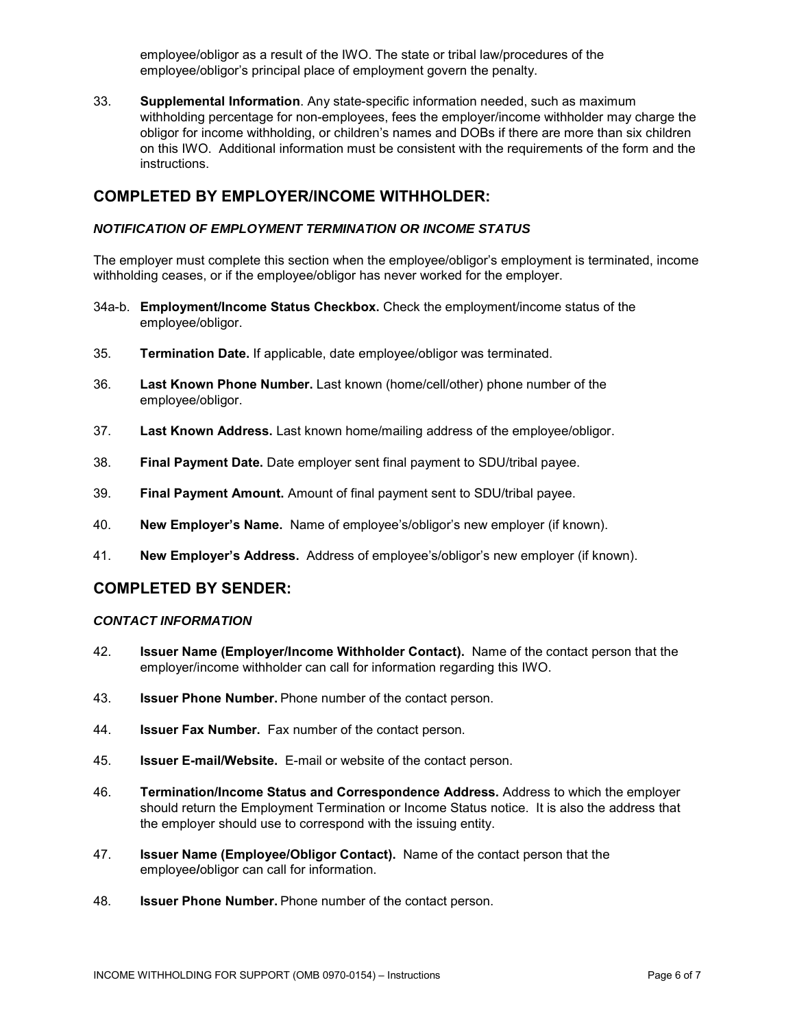employee/obligor as a result of the IWO. The state or tribal law/procedures of the employee/obligor's principal place of employment govern the penalty.

33. **Supplemental Information**. Any state-specific information needed, such as maximum withholding percentage for non-employees, fees the employer/income withholder may charge the obligor for income withholding, or children's names and DOBs if there are more than six children on this IWO. Additional information must be consistent with the requirements of the form and the instructions.

### **COMPLETED BY EMPLOYER/INCOME WITHHOLDER:**

#### *NOTIFICATION OF EMPLOYMENT TERMINATION OR INCOME STATUS*

The employer must complete this section when the employee/obligor's employment is terminated, income withholding ceases, or if the employee/obligor has never worked for the employer.

- 34a-b. **Employment/Income Status Checkbox.** Check the employment/income status of the employee/obligor.
- 35. **Termination Date.** If applicable, date employee/obligor was terminated.
- 36. **Last Known Phone Number.** Last known (home/cell/other) phone number of the employee/obligor.
- 37. **Last Known Address.** Last known home/mailing address of the employee/obligor.
- 38. **Final Payment Date.** Date employer sent final payment to SDU/tribal payee.
- 39. **Final Payment Amount.** Amount of final payment sent to SDU/tribal payee.
- 40. **New Employer's Name.** Name of employee's/obligor's new employer (if known).
- 41. **New Employer's Address.** Address of employee's/obligor's new employer (if known).

### **COMPLETED BY SENDER:**

#### *CONTACT INFORMATION*

- 42. **Issuer Name (Employer/Income Withholder Contact).** Name of the contact person that the employer/income withholder can call for information regarding this IWO.
- 43. **Issuer Phone Number.** Phone number of the contact person.
- 44. **Issuer Fax Number.** Fax number of the contact person.
- 45. **Issuer E-mail/Website.** E-mail or website of the contact person.
- 46. **Termination/Income Status and Correspondence Address.** Address to which the employer should return the Employment Termination or Income Status notice. It is also the address that the employer should use to correspond with the issuing entity.
- 47. **Issuer Name (Employee/Obligor Contact).** Name of the contact person that the employee**/**obligor can call for information.
- 48. **Issuer Phone Number.** Phone number of the contact person.